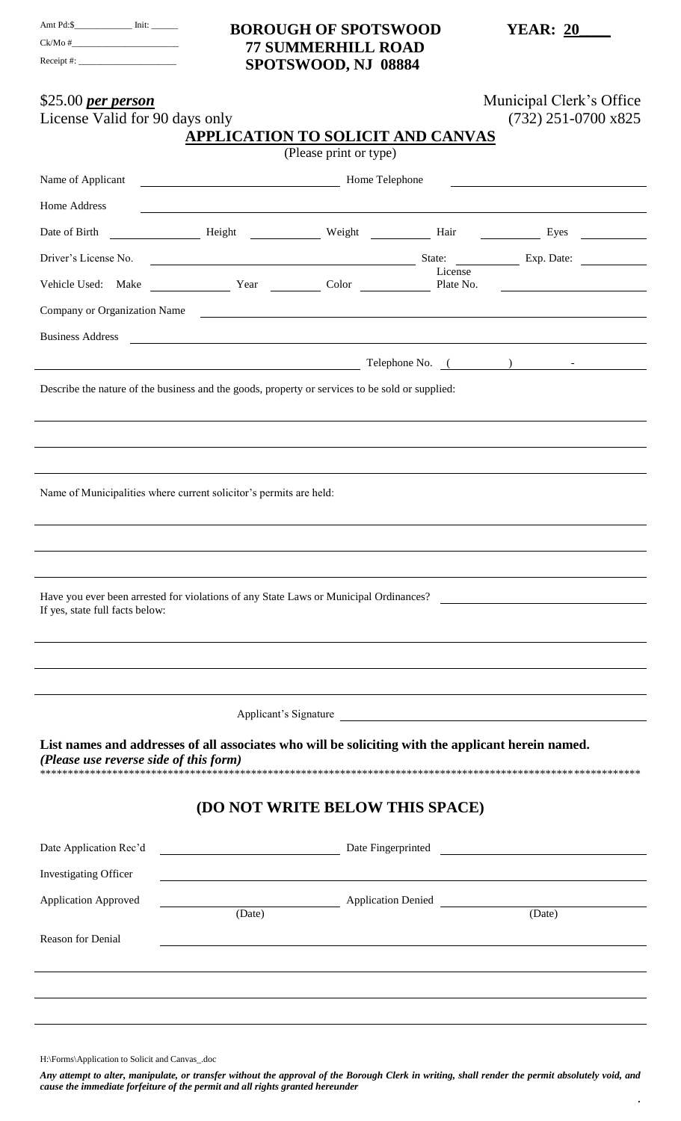| Amt Pd:\$    | Init: |
|--------------|-------|
| Ck/Mo#       |       |
| Receipt $\#$ |       |

## **BOROUGH OF SPOTSWOOD 77 SUMMERHILL ROAD** SPOTSWOOD, NJ 08884

**YEAR: 20** 

| \$25.00 per person<br>License Valid for 90 days only                                                                                         | <b>APPLICATION TO SOLICIT AND CANVAS</b>                                                                             |                        |         | Municipal Clerk's Office<br>$(732)$ 251-0700 x825                                                                                                                                                                              |
|----------------------------------------------------------------------------------------------------------------------------------------------|----------------------------------------------------------------------------------------------------------------------|------------------------|---------|--------------------------------------------------------------------------------------------------------------------------------------------------------------------------------------------------------------------------------|
|                                                                                                                                              |                                                                                                                      | (Please print or type) |         |                                                                                                                                                                                                                                |
| Name of Applicant                                                                                                                            | Home Telephone                                                                                                       |                        |         |                                                                                                                                                                                                                                |
| Home Address                                                                                                                                 |                                                                                                                      |                        |         | <u> 1989 - Andrea Santa Alemania, amerikana amerikana amerikana amerikana amerikana amerikana amerikana amerikan</u>                                                                                                           |
| Date of Birth                                                                                                                                |                                                                                                                      |                        |         | Height Weight Hair Hair Eyes Neght Hair Hair Eyes                                                                                                                                                                              |
| Driver's License No.                                                                                                                         |                                                                                                                      |                        | License |                                                                                                                                                                                                                                |
|                                                                                                                                              |                                                                                                                      |                        |         | Vehicle Used: Make <u>Vear</u> Year Color Plate No. 2006 Plate No.                                                                                                                                                             |
|                                                                                                                                              |                                                                                                                      |                        |         | Company or Organization Name                                                                                                                                                                                                   |
| <b>Business Address</b>                                                                                                                      | <u> Andreas Andreas Andreas Andreas Andreas Andreas Andreas Andreas Andreas Andreas Andreas Andreas Andreas Andr</u> |                        |         |                                                                                                                                                                                                                                |
|                                                                                                                                              |                                                                                                                      |                        |         | Telephone No. (and the contract of the contract of the contract of the contract of the contract of the contract of the contract of the contract of the contract of the contract of the contract of the contract of the contrac |
| Describe the nature of the business and the goods, property or services to be sold or supplied:                                              |                                                                                                                      |                        |         |                                                                                                                                                                                                                                |
|                                                                                                                                              |                                                                                                                      |                        |         |                                                                                                                                                                                                                                |
|                                                                                                                                              |                                                                                                                      |                        |         |                                                                                                                                                                                                                                |
|                                                                                                                                              |                                                                                                                      |                        |         |                                                                                                                                                                                                                                |
| Name of Municipalities where current solicitor's permits are held:                                                                           |                                                                                                                      |                        |         |                                                                                                                                                                                                                                |
|                                                                                                                                              |                                                                                                                      |                        |         |                                                                                                                                                                                                                                |
|                                                                                                                                              |                                                                                                                      |                        |         |                                                                                                                                                                                                                                |
|                                                                                                                                              |                                                                                                                      |                        |         |                                                                                                                                                                                                                                |
| Have you ever been arrested for violations of any State Laws or Municipal Ordinances?                                                        |                                                                                                                      |                        |         |                                                                                                                                                                                                                                |
| If yes, state full facts below:                                                                                                              |                                                                                                                      |                        |         |                                                                                                                                                                                                                                |
|                                                                                                                                              |                                                                                                                      |                        |         |                                                                                                                                                                                                                                |
|                                                                                                                                              |                                                                                                                      |                        |         |                                                                                                                                                                                                                                |
|                                                                                                                                              |                                                                                                                      |                        |         |                                                                                                                                                                                                                                |
|                                                                                                                                              |                                                                                                                      |                        |         | Applicant's Signature                                                                                                                                                                                                          |
| List names and addresses of all associates who will be soliciting with the applicant herein named.<br>(Please use reverse side of this form) |                                                                                                                      |                        |         |                                                                                                                                                                                                                                |
| (DO NOT WRITE BELOW THIS SPACE)                                                                                                              |                                                                                                                      |                        |         |                                                                                                                                                                                                                                |
| Date Application Rec'd                                                                                                                       |                                                                                                                      |                        |         | Date Fingerprinted <b>Exercise 2018</b> Date Fingerprinted                                                                                                                                                                     |
| <b>Investigating Officer</b>                                                                                                                 | <u> 1980 - Johann Barnett, fransk politik (d. 1980)</u>                                                              |                        |         |                                                                                                                                                                                                                                |
| <b>Application Approved</b>                                                                                                                  |                                                                                                                      |                        |         | Application Denied                                                                                                                                                                                                             |
|                                                                                                                                              | (Date)                                                                                                               |                        |         | (Date)                                                                                                                                                                                                                         |
| Reason for Denial                                                                                                                            |                                                                                                                      |                        |         |                                                                                                                                                                                                                                |
|                                                                                                                                              |                                                                                                                      |                        |         |                                                                                                                                                                                                                                |
|                                                                                                                                              |                                                                                                                      |                        |         |                                                                                                                                                                                                                                |
|                                                                                                                                              |                                                                                                                      |                        |         |                                                                                                                                                                                                                                |
|                                                                                                                                              |                                                                                                                      |                        |         |                                                                                                                                                                                                                                |

H:\Forms\Application to Solicit and Canvas\_.doc

Any attempt to alter, manipulate, or transfer without the approval of the Borough Clerk in writing, shall render the permit absolutely void, and cause the immediate forfeiture of the permit and all rights granted hereunder

 $\ddot{\phantom{a}}$